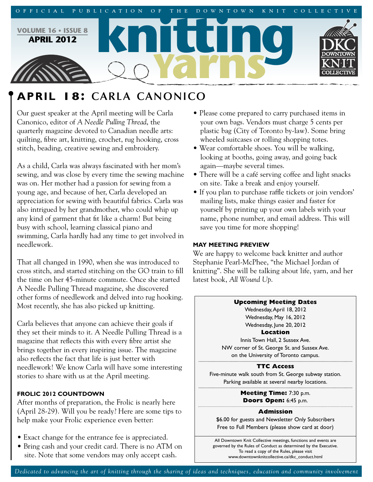

# **APRIL 18: CARLA CANONICO**

Our guest speaker at the April meeting will be Carla Canonico, editor of *A Needle Pulling Thread*, the quarterly magazine devoted to Canadian needle arts: quilting, fibre art, knitting, crochet, rug hooking, cross stitch, beading, creative sewing and embroidery.

As a child, Carla was always fascinated with her mom's sewing, and was close by every time the sewing machine was on. Her mother had a passion for sewing from a young age, and because of her, Carla developed an appreciation for sewing with beautiful fabrics. Carla was also intrigued by her grandmother, who could whip up any kind of garment that fit like a charm! But being busy with school, learning classical piano and swimming, Carla hardly had any time to get involved in needlework.

That all changed in 1990, when she was introduced to cross stitch, and started stitching on the GO train to fill the time on her 45-minute commute. Once she started A Needle Pulling Thread magazine, she discovered other forms of needlework and delved into rug hooking. Most recently, she has also picked up knitting.

Carla believes that anyone can achieve their goals if they set their minds to it. A Needle Pulling Thread is a magazine that reflects this with every fibre artist she brings together in every inspiring issue. The magazine also reflects the fact that life is just better with needlework! We know Carla will have some interesting stories to share with us at the April meeting.

# **FROLIC 2012 COUNTDOWN**

After months of preparation, the Frolic is nearly here (April 28-29). Will you be ready? Here are some tips to help make your Frolic experience even better:

- Exact change for the entrance fee is appreciated.
- Bring cash and your credit card. There is no ATM on site. Note that some vendors may only accept cash.
- Please come prepared to carry purchased items in your own bags. Vendors must charge 5 cents per plastic bag (City of Toronto by-law). Some bring wheeled suitcases or rolling shopping totes.
- Wear comfortable shoes. You will be walking, looking at booths, going away, and going back again—maybe several times.
- There will be a café serving coffee and light snacks on site. Take a break and enjoy yourself.
- If you plan to purchase raffle tickets or join vendors' mailing lists, make things easier and faster for yourself by printing up your own labels with your name, phone number, and email address. This will save you time for more shopping!

## **MAY MEETING PREVIEW**

We are happy to welcome back knitter and author Stephanie Pearl-McPhee, "the Michael Jordan of knitting". She will be talking about life, yarn, and her latest book, *All Wound Up*.



## **Admission**

\$6.00 for guests and Newsletter Only Subscribers Free to Full Members (please show card at door)

All Downtown Knit Collective meetings, functions and events are governed by the Rules of Conduct as determined by the Executive. To read a copy of the Rules, please visit www.downtownknitcollective.ca/dkc\_conduct.html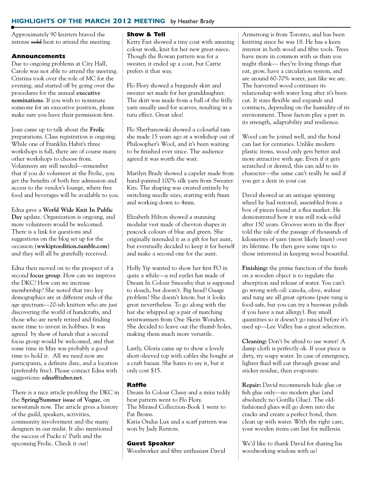## **HIGHLIGHTS OF THE MARCH 2012 MEETING** by Heather Brady

Approximately 90 knitters braved the intense **cold** heat to attend the meeting.

## **Announcements**

Due to ongoing problems at City Hall, Carole was not able to attend the meeting. Cristina took over the role of MC for the evening, and started off by going over the procedures for the annual **executive nominations**. If you wish to nominate someone for an executive position, please make sure you have their permission first.

Joan came up to talk about the **Frolic** preparations. Class registration is ongoing. While one of Franklin Habit's three workshops is full, there are of course many other workshops to choose from. Volunteers are still needed—remember that if you do volunteer at the Frolic, you get the benefits of both free admission and access to the vendor's lounge, where free food and beverages will be available to you.

Edna gave a **World Wide Knit In Public Day** update. Organization is ongoing, and more volunteers would be welcomed. There is a link for questions and suggestions on the blog set up for the occasion (**wwkiptoedition.tumblr.com**) and they will all be gratefully received.

Edna then moved on to the prospect of a second **focus group**. How can we improve the DKC? How can we increase membership? She noted that two key demographics are at different ends of the age spectrum—20-ish knitters who are just discovering the world of handcrafts, and those who are newly retired and finding more time to invest in hobbies. It was agreed by show of hands that a second focus group would be welcomed, and that some time in May was probably a good time to hold it. All we need now are participants, a definite date, and a location (preferably free). Please contact Edna with suggestions: **edna@zuber.net**.

There is a nice article profiling the DKC in the **Spring/Summer issue of Vogue**, on newsstands now. The article gives a history of the guild, speakers, activities, community involvement and the many designers in our midst. It also mentioned the success of Pucks n' Purls and the upcoming Frolic. Check it out!

#### **Show & Tell**

Kerry Fast showed a tiny coat with amazing colour work, knit for her new great-niece. Though the Rowan pattern was for a sweater, it ended up a coat, but Carrie prefers it that way.

Flo Flory showed a burgundy skirt and sweater set made for her granddaughter. The skirt was made from a ball of the frilly yarn usually used for scarves, resulting in a tutu effect. Great idea!

Flo Sherbanowski showed a colourful tam she made 15 years ago at a workshop out of Philosopher's Wool, and it's been waiting to be finished ever since. The audience agreed it was worth the wait.

Marilyn Brady showed a capelet made from hand-painted 100% silk yarn from Sweater Kits. The shaping was created entirely by switching needle sizes, starting with 8mm and working down to 4mm.

Elizabeth Hilton showed a stunning modular vest made of chevron shapes in peacock colours of blue and green. She originally intended it as a gift for her aunt, but eventually decided to keep it for herself and make a second one for the aunt.

Holly Yip wanted to show her first FO in quite a while—a red eyelet hat made of Dream In Colour Smooshy that is supposed to slouch, but doesn't. Big head? Guage problem? She doesn't know, but it looks great nevertheless. To go along with the hat she whipped up a pair of matching wristwarmers from One Skein Wonders. She decided to leave out the thumb holes, making them much more versatile.

Lastly, Gloria came up to show a lovely short-sleeved top with cables she bought at a craft bazaar. She hates to say it, but it only cost \$15.

#### **Raffle**

Dream In Colour Classy and a mini teddy bear pattern went to Flo Flory. The Mirasol Collection-Book 1 went to Pat Broms. Katia Ondus Lux and a scarf pattern was won by Judy Renton.

## **Guest Speaker**

Woodworker and fibre enthusiast David

Armstrong is from Toronto, and has been knitting since he was 18. He has a keen interest in both wood and fibre tools. Trees have more in common with us than you might think— they're living things that eat, grow, have a circulation system, and are around 60-70% water, just like we are. The harvested wood continues its relationship with water long after it's been cut. It stays flexible and expands and contracts, depending on the humidity of its environment. These factors play a part in its strength, adaptability and resilience.

Wood can be joined well, and the bond can last for centuries. Unlike modern plastic items, wood only gets better and more attractive with age. Even if it gets scratched or dented, this can add to its character—the same can't really be said if you get a dent in your car.

David showed us an antique spinning wheel he had restored, assembled from a box of pieces found at a flea market. He demonstrated how it was still rock-solid after 150 years. Grooves worn in the flyer told the tale of the passage of thousands of kilometres of yarn (most likely linen) over its lifetime. He then gave some tips to those interested in keeping wood beautiful.

**Finishing:** the prime function of the finish on a wooden object is to regulate the absorption and release of water. You can't go wrong with oil: canola, olive, walnut and tung are all great options (pure tung is food-safe, but you can try a beeswax polish if you have a nut allergy). Buy small quantities so it doesn't go rancid before it's used up—Lee Valley has a great selection.

**Cleaning:** Don't be afraid to use water! A damp cloth is perfectly ok. If your piece is dirty, try soapy water. In case of emergency, lighter fluid will cut through grease and sticker residue, then evaporate.

**Repair:** David recommends hide glue or fish glue only—no modern glue (and absolutely no Gorilla Glue). The oldfashioned glues will go down into the cracks and create a perfect bond, then clean up with water. With the right care, your wooden items can last for millenia.

We'd like to thank David for sharing his woodworking wisdom with us!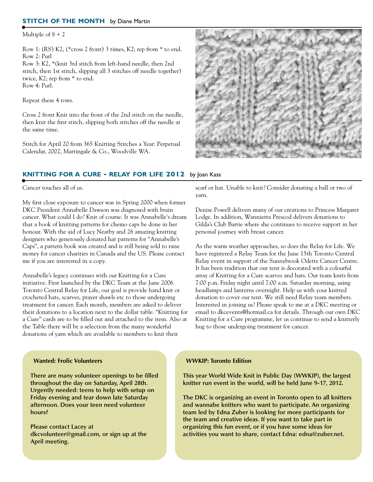#### **STITCH OF THE MONTH** by Diane Martin

Multiple of  $8 + 2$ 

Row 1: (RS) K2, (\*cross 2 front) 3 times, K2; rep from \* to end. Row 2: Purl

Row 3: K2, \*(knit 3rd stitch from left-hand needle, then 2nd stitch, then 1st stitch, slipping all 3 stitches off needle together) twice, K2; rep from \* to end. Row 4: Purl.

Repeat these 4 rows.

Cross 2 front Knit into the front of the 2nd stitch on the needle, then knit the first stitch, slipping both stitches off the needle at the same time.

Stitch for April 20 from 365 Knitting Stitches a Year: Perpetual Calendar, 2002, Martingale & Co., Woodville WA.



## **KNITTING FOR A CURE - RELAY FOR LIFE 2012** by Joan Kass

Cancer touches all of us.

My first close exposure to cancer was in Spring 2000 when former DKC President Annabelle Dawson was diagnosed with brain cancer. What could I do? Knit of course. It was Annabelle's dream that a book of knitting patterns for chemo caps be done in her honour. With the aid of Lucy Neatby and 26 amazing knitting designers who generously donated hat patterns for "Annabelle's Caps", a pattern book was created and is still being sold to raise money for cancer charities in Canada and the US. Please contact me if you are interested in a copy.

Annabelle's legacy continues with our Knitting for a Cure initiative. First launched by the DKC Team at the June 2006 Toronto Central Relay for Life, our goal is provide hand knit or crocheted hats, scarves, prayer shawls etc to those undergoing treatment for cancer. Each month, members are asked to deliver their donations to a location next to the dollar table. "Knitting for a Cure" cards are to be filled out and attached to the item. Also at the Table there will be a selection from the many wonderful donations of yarn which are available to members to knit their

scarf or hat. Unable to knit? Consider donating a ball or two of yarn.

Denise Powell delivers many of our creations to Princess Margaret Lodge. In addition, Wannietta Prescod delivers donations to Gilda's Club Barrie where she continues to receive support in her personal journey with breast cancer.

As the warm weather approaches, so does the Relay for Life. We have registered a Relay Team for the June 15th Toronto Central Relay event in support of the Sunnybrook Odette Cancer Centre. It has been tradition that our tent is decorated with a colourful array of Knitting for a Cure scarves and hats. Our team knits from 7:00 p.m. Friday night until 7:00 a.m. Saturday morning, using headlamps and lanterns overnight. Help us with your knitted donation to cover our tent. We still need Relay team members. Interested in joining us? Please speak to me at a DKC meeting or email to dkcevents@hotmail.ca for details. Through our own DKC Knitting for a Cure programme, let us continue to send a knitterly hug to those undergoing treatment for cancer.

#### **Wanted: Frolic Volunteers**

**There are many volunteer openings to be filled throughout the day on Saturday, April 28th. Urgently needed: teens to help with setup on Friday evening and tear down late Saturday afternoon. Does your teen need volunteer hours?**

**Please contact Lacey at dkcvolunteer@gmail.com, or sign up at the April meeting.**

#### **WWKIP: Toronto Edition**

**This year World Wide Knit in Public Day (WWKIP), the largest knitter run event in the world, will be held June 9-17, 2012.**

**The DKC is organizing an event in Toronto open to all knitters and wannabe knitters who want to participate. An organizing team led by Edna Zuber is looking for more participants for the team and creative ideas. If you want to take part in organizing this fun event, or if you have some ideas for activities you want to share, contact Edna: edna@zuber.net.**